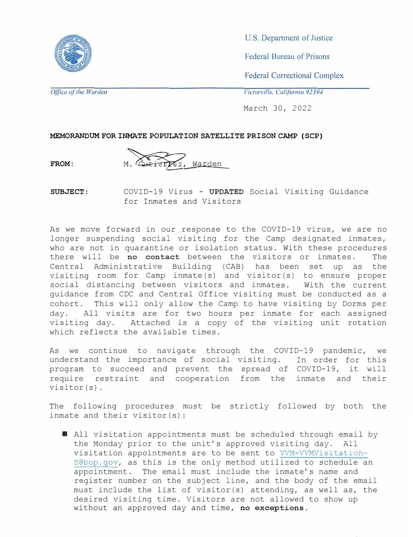

U.S. Department of Justice

Federal Bureau of Prisons

Federal Correctional Complex

*Office of the Warden* 

*Victorville, California 9239./* 

March 30, 2022

**MEMORANDUM FOR INMATE POPULATION SATELLITE PRISON CAMP (SCP)**

**FROM:** 



**SUBJECT:**  COVID-19 Virus - **UPDATED** Social Visiting Guidance for Inmates and Visitors

As we move forward in our response to the COVID-19 virus, we are no longer suspending social visiting for the Camp designated inmates, who are not in quarantine or isolation status. With these procedures there will be **no contact** between the visitors or inmates. The Central Administrative Building (CAB) has been set up as the visiting room for Camp inmate(s) and visitor(s) to ensure proper social distancing between visitors and inmates. With the current guidance from CDC and Central Office visiting must be conducted as a cohort. This will only allow the Camp to have visiting by Dorms per day. All visits are for two hours per inmate for each assigned visiting day. Attached is a copy of the visiting unit rotation which reflects the available times.

As we continue to navigate through the COVID-19 pandemic, we understand the importance of social visiting. In order for this program to succeed and prevent the spread of COVID-19, it will require restraint and cooperation from the inmate and their visitor(s).

The following procedures must be strictly followed by both the inmate and their visitor(s):

■ All visitation appointments must be scheduled through email by the Monday prior to the unit's approved visiting day. All visitation appointments are to be sent to VVM-VVMVisitation-S@bop.gov, as this is the only method utilized to schedule an appointment. The email must include the inmate's name and register number on the subject line, and the body of the email must include the list of visitor(s) attending, as well as, the desired visiting time. Visitors are not allowed to show up without an approved day and time, **no exceptions.**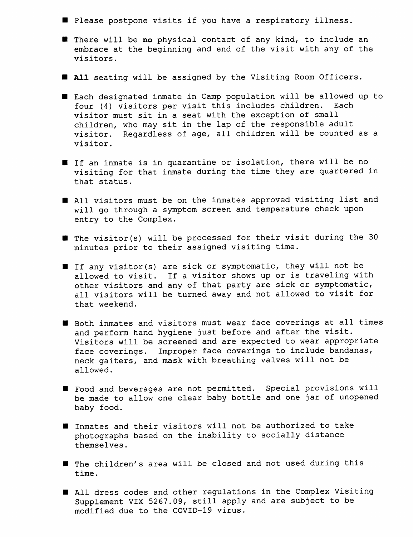- Please postpone visits if you have a respiratory illness.
- There will be no physical contact of any kind, to include an embrace at the beginning and end of the visit with any of the visitors.
- **All** seating will be assigned by the Visiting Room Officers.
- Each designated inmate in Camp population will be allowed up to four (4) visitors per visit this includes children. Each visitor must sit in a seat with the exception of small children, who may sit in the lap of the responsible adult visitor. Regardless of age, all children will be counted as a visitor.
- If an inmate is in quarantine or isolation, there will be no visiting for that inmate during the time they are quartered in that status.
- All visitors must be on the inmates approved visiting list and will go through a symptom screen and temperature check upon entry to the Complex.
- $\blacksquare$  The visitor(s) will be processed for their visit during the 30 minutes prior to their assigned visiting time.
- If any visitor(s) are sick or symptomatic, they will not be allowed to visit. If a visitor shows up or is traveling with other visitors and any of that party are sick or symptomatic, all visitors will be turned away and not allowed to visit for that weekend.
- Both inmates and visitors must wear face coverings at all times and perform hand hygiene just before and after the visit. Visitors will be screened and are expected to wear appropriate Improper face coverings to include bandanas, face coverings. neck gaiters, and mask with breathing valves will not be allowed.
- Food and beverages are not permitted. Special provisions will be made to allow one clear baby bottle and one jar of unopened baby food.
- Inmates and their visitors will not be authorized to take photographs based on the inability to socially distance themselves.
- The children's area will be closed and not used during this time.
- I All dress codes and other regulations in the Complex Visiting Supplement VIX 5267.09, still apply and are subject to be modified due to the COVID-19 virus.